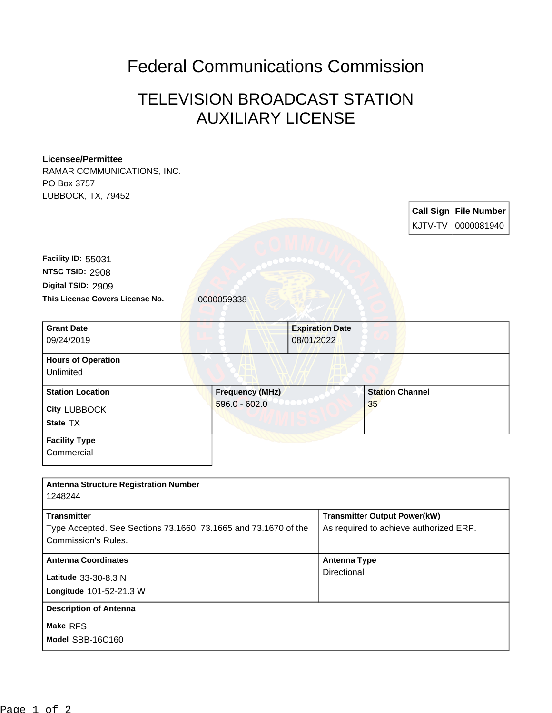## Federal Communications Commission

## TELEVISION BROADCAST STATION AUXILIARY LICENSE

## RAMAR COMMUNICATIONS, INC. PO Box 3757 LUBBOCK, TX, 79452 **Call Sign File Number** KJTV-TV 0000081940 **This License Covers License No.** 0000059338 **Digital TSID:** 2909 **NTSC TSID:** 2908 **Facility ID:** 55031 **Model** SBB-16C160 **Make** RFS **Longitude** 101-52-21.3 W **Latitude** 33-30-8.3 N **State** TX **City** LUBBOCK **Grant Date** 09/24/2019 **Expiration Date** 08/01/2022 **Hours of Operation** Unlimited **Station Location Frequency (MHz)** 596.0 - 602.0 **Station Channel** 35 **Facility Type Commercial Antenna Structure Registration Number** 1248244 **Transmitter** Type Accepted. See Sections 73.1660, 73.1665 and 73.1670 of the Commission's Rules. **Transmitter Output Power(kW)** As required to achieve authorized ERP. **Antenna Coordinates Antenna Type Directional Description of Antenna**

**Licensee/Permittee**